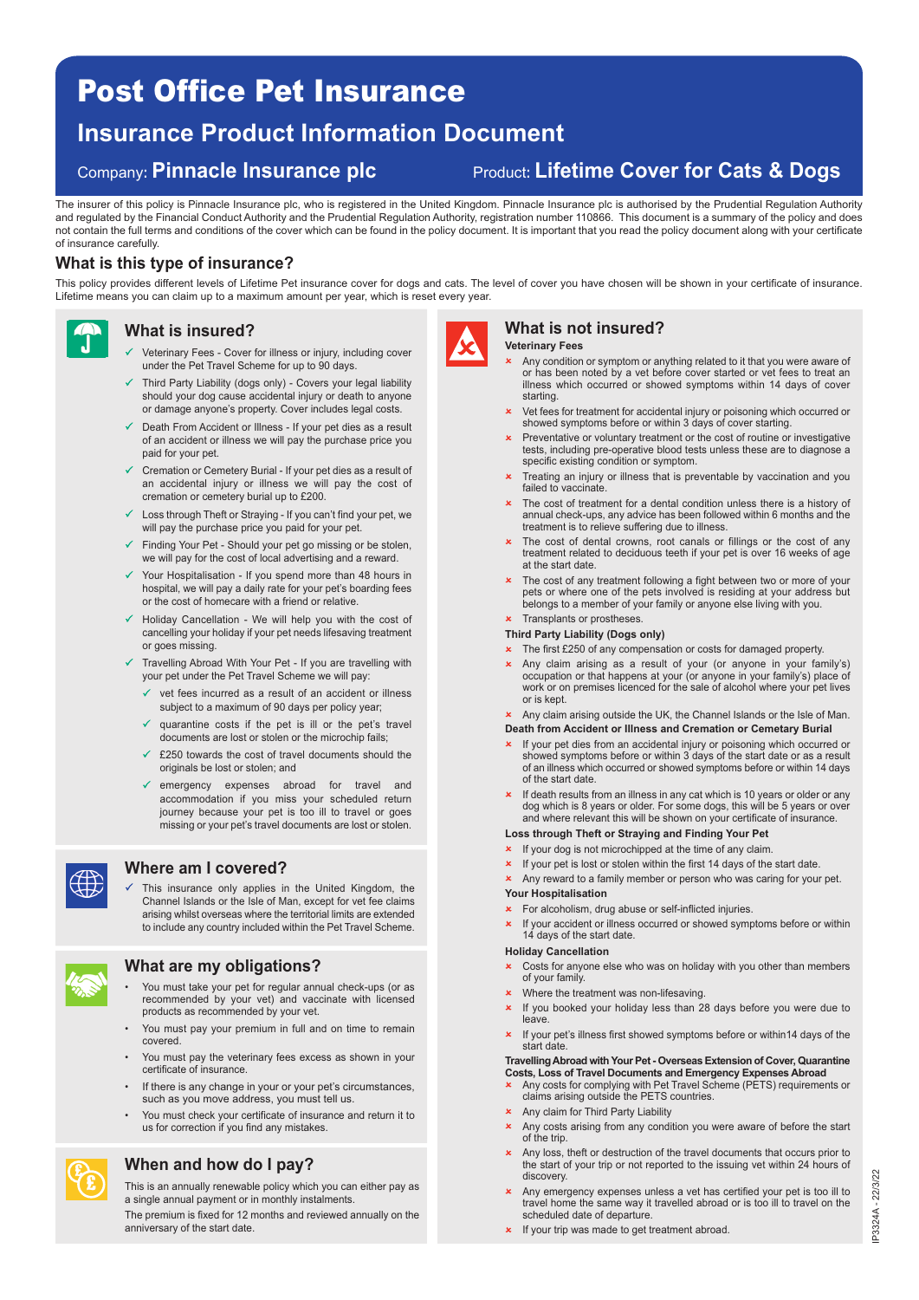# Post Office Pet Insurance

## **Insurance Product Information Document**

### Company**: Pinnacle Insurance plc** Product**: Lifetime Cover for Cats & Dogs**

# The insurer of this policy is Pinnacle Insurance plc, who is registered in the United Kingdom. Pinnacle Insurance plc is authorised by the Prudential Regulation Authority

and regulated by the Financial Conduct Authority and the Prudential Regulation Authority, registration number 110866. This document is a summary of the policy and does not contain the full terms and conditions of the cover which can be found in the policy document. It is important that you read the policy document along with your certificate of insurance carefully.

#### **What is this type of insurance?**

This policy provides different levels of Lifetime Pet insurance cover for dogs and cats. The level of cover you have chosen will be shown in your certificate of insurance. Lifetime means you can claim up to a maximum amount per year, which is reset every year.



#### **What is insured?**

- $\checkmark$  Veterinary Fees - Cover for illness or injury, including cover under the Pet Travel Scheme for up to 90 days.
- $\checkmark$  Third Party Liability (dogs only) - Covers your legal liability should your dog cause accidental injury or death to anyone or damage anyone's property. Cover includes legal costs.
- Death From Accident or Illness If your pet dies as a result of an accident or illness we will pay the purchase price you paid for your pet.
- Cremation or Cemetery Burial If your pet dies as a result of an accidental injury or illness we will pay the cost of cremation or cemetery burial up to £200.
- Loss through Theft or Straying If you can't find your pet, we will pay the purchase price you paid for your pet
- Finding Your Pet Should your pet go missing or be stolen, we will pay for the cost of local advertising and a reward.
- Your Hospitalisation If you spend more than 48 hours in hospital, we will pay a daily rate for your pet's boarding fees or the cost of homecare with a friend or relative.
- Holiday Cancellation We will help you with the cost of cancelling your holiday if your pet needs lifesaving treatment or goes missing.
- Travelling Abroad With Your Pet If you are travelling with your pet under the Pet Travel Scheme we will pay:
	- $\checkmark$  vet fees incurred as a result of an accident or illness subject to a maximum of 90 days per policy year;
	- $\checkmark$  quarantine costs if the pet is ill or the pet's travel documents are lost or stolen or the microchip fails;
	- $\checkmark$  £250 towards the cost of travel documents should the originals be lost or stolen; and
	- emergency expenses abroad for travel and accommodation if you miss your scheduled return journey because your pet is too ill to travel or goes missing or your pet's travel documents are lost or stolen.



#### **Where am I covered?**

 $\checkmark$  This insurance only applies in the United Kingdom, the Channel Islands or the Isle of Man, except for vet fee claims arising whilst overseas where the territorial limits are extended to include any country included within the Pet Travel Scheme.



£ £

#### **What are my obligations?**

- You must take your pet for regular annual check-ups (or as recommended by your vet) and vaccinate with licensed products as recommended by your vet.
- You must pay your premium in full and on time to remain covered.
- You must pay the veterinary fees excess as shown in your certificate of insurance.
- If there is any change in your or your pet's circumstances, such as you move address, you must tell us.
- You must check your certificate of insurance and return it to us for correction if you find any mistakes.

### **When and how do I pay?**

This is an annually renewable policy which you can either pay as a single annual payment or in monthly instalments.

The premium is fixed for 12 months and reviewed annually on the anniversary of the start date.



### **What is not insured?**

- **Veterinary Fees**
- Any condition or symptom or anything related to it that you were aware of or has been noted by a vet before cover started or vet fees to treat an illness which occurred or showed symptoms within 14 days of cover starting.
- **x** Vet fees for treatment for accidental injury or poisoning which occurred or showed symptoms before or within 3 days of cover starting.
- $\mathbf x$  Preventative or voluntary treatment or the cost of routine or investigative tests, including pre-operative blood tests unless these are to diagnose a specific existing condition or symptom.
- Treating an injury or illness that is preventable by vaccination and you failed to vaccinate.
- The cost of treatment for a dental condition unless there is a history of annual check-ups, any advice has been followed within 6 months and the treatment is to relieve suffering due to illness.
- \* The cost of dental crowns, root canals or fillings or the cost of any treatment related to deciduous teeth if your pet is over 16 weeks of age at the start date.
- The cost of any treatment following a fight between two or more of your pets or where one of the pets involved is residing at your address but belongs to a member of your family or anyone else living with you.
- **\*** Transplants or prostheses

#### **Third Party Liability (Dogs only)**

- **\*** The first £250 of any compensation or costs for damaged property.
- Any claim arising as a result of your (or anyone in your family's) occupation or that happens at your (or anyone in your family's) place of work or on premises licenced for the sale of alcohol where your pet lives or is kept.
- \* Any claim arising outside the UK, the Channel Islands or the Isle of Man. **Death from Accident or Illness and Cremation or Cemetary Burial**
- **x** If your pet dies from an accidental injury or poisoning which occurred or showed symptoms before or within 3 days of the start date or as a result of an illness which occurred or showed symptoms before or within 14 days of the start date.
- **x** If death results from an illness in any cat which is 10 years or older or any dog which is 8 years or older. For some dogs, this will be 5 years or over and where relevant this will be shown on your certificate of insurance.

#### **Loss through Theft or Straying and Finding Your Pet**

- If your dog is not microchipped at the time of any claim.
- If your pet is lost or stolen within the first 14 days of the start date.
	- **x** Any reward to a family member or person who was caring for your pet.

#### **Your Hospitalisation**

- **\*** For alcoholism, drug abuse or self-inflicted injuries.
- **\*** If your accident or illness occurred or showed symptoms before or within 14 days of the start date.

#### **Holiday Cancellation**

- **x** Costs for anyone else who was on holiday with you other than members of your family.
- $x$  Where the treatment was non-lifesaving.
- **x** If you booked your holiday less than 28 days before you were due to leave.
- **x** If your pet's illness first showed symptoms before or within14 days of the start date.

#### **Travelling Abroad with Your Pet - Overseas Extension of Cover, Quarantine Costs, Loss of Travel Documents and Emergency Expenses Abroad**

- Any costs for complying with Pet Travel Scheme (PETS) requirements or claims arising outside the PETS countries.
- **\*** Any claim for Third Party Liability
- Any costs arising from any condition you were aware of before the start of the trip.
- Any loss, theft or destruction of the travel documents that occurs prior to the start of your trip or not reported to the issuing vet within 24 hours of discovery.
- Any emergency expenses unless a vet has certified your pet is too ill to travel home the same way it travelled abroad or is too ill to travel on the scheduled date of departure.
- **x** If your trip was made to get treatment abroad.